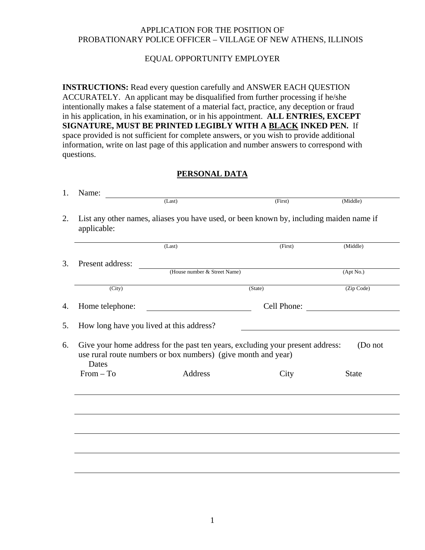#### APPLICATION FOR THE POSITION OF PROBATIONARY POLICE OFFICER – VILLAGE OF NEW ATHENS, ILLINOIS

### EQUAL OPPORTUNITY EMPLOYER

**INSTRUCTIONS:** Read every question carefully and ANSWER EACH QUESTION ACCURATELY. An applicant may be disqualified from further processing if he/she intentionally makes a false statement of a material fact, practice, any deception or fraud in his application, in his examination, or in his appointment. **ALL ENTRIES, EXCEPT SIGNATURE, MUST BE PRINTED LEGIBLY WITH A BLACK INKED PEN.** If space provided is not sufficient for complete answers, or you wish to provide additional information, write on last page of this application and number answers to correspond with questions.

### **PERSONAL DATA**

| Name:                                                                                                  |                                                                                                                                                 |             |                         |  |
|--------------------------------------------------------------------------------------------------------|-------------------------------------------------------------------------------------------------------------------------------------------------|-------------|-------------------------|--|
|                                                                                                        | (Last)                                                                                                                                          | (First)     | (Middle)                |  |
| List any other names, aliases you have used, or been known by, including maiden name if<br>applicable: |                                                                                                                                                 |             |                         |  |
|                                                                                                        | (Last)                                                                                                                                          | (First)     | (Middle)                |  |
| Present address:                                                                                       |                                                                                                                                                 |             |                         |  |
|                                                                                                        | (House number & Street Name)                                                                                                                    |             | (Apt No.)               |  |
| (City)                                                                                                 |                                                                                                                                                 | (State)     | (Zip Code)              |  |
|                                                                                                        |                                                                                                                                                 |             |                         |  |
| Home telephone:                                                                                        |                                                                                                                                                 | Cell Phone: |                         |  |
|                                                                                                        | How long have you lived at this address?                                                                                                        |             |                         |  |
|                                                                                                        | Give your home address for the past ten years, excluding your present address:<br>use rural route numbers or box numbers) (give month and year) |             |                         |  |
| Dates<br>$From - To$                                                                                   | Address                                                                                                                                         | City        | (Do not<br><b>State</b> |  |
|                                                                                                        |                                                                                                                                                 |             |                         |  |
|                                                                                                        |                                                                                                                                                 |             |                         |  |
|                                                                                                        |                                                                                                                                                 |             |                         |  |
|                                                                                                        |                                                                                                                                                 |             |                         |  |
|                                                                                                        |                                                                                                                                                 |             |                         |  |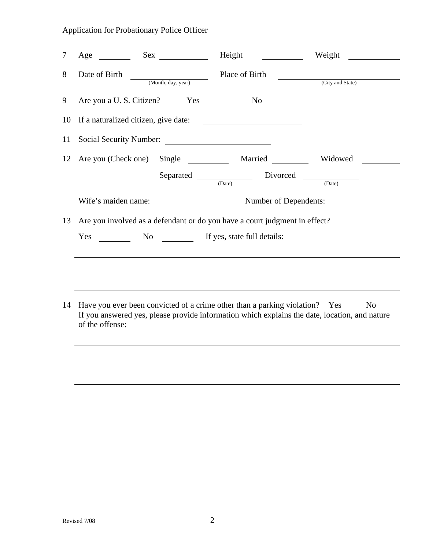| 7  | Age                                                                        |                        | Height                                          | Weight                                                                                                                                                                                |
|----|----------------------------------------------------------------------------|------------------------|-------------------------------------------------|---------------------------------------------------------------------------------------------------------------------------------------------------------------------------------------|
| 8  | Date of Birth                                                              | (Month, day, year)     | Place of Birth                                  | (City and State)                                                                                                                                                                      |
| 9  | Are you a U.S. Citizen? Yes                                                |                        | $No \t —$                                       |                                                                                                                                                                                       |
| 10 | If a naturalized citizen, give date:                                       |                        | <u> 1980 - Andrea Barbara, poeta esperanto-</u> |                                                                                                                                                                                       |
| 11 | Social Security Number:                                                    |                        |                                                 |                                                                                                                                                                                       |
| 12 | Are you (Check one) Single                                                 |                        | Married                                         | Widowed                                                                                                                                                                               |
|    |                                                                            | $Separated \n\n(Date)$ |                                                 | Divorced<br>(Date)                                                                                                                                                                    |
|    | Wife's maiden name:                                                        |                        |                                                 | Number of Dependents:                                                                                                                                                                 |
| 13 | Are you involved as a defendant or do you have a court judgment in effect? |                        |                                                 |                                                                                                                                                                                       |
|    | Yes                                                                        |                        | No If yes, state full details:                  |                                                                                                                                                                                       |
| 14 |                                                                            |                        |                                                 | Have you ever been convicted of a crime other than a parking violation? Yes<br>No no<br>If you answered yes, please provide information which explains the date, location, and nature |
|    | of the offense:                                                            |                        |                                                 |                                                                                                                                                                                       |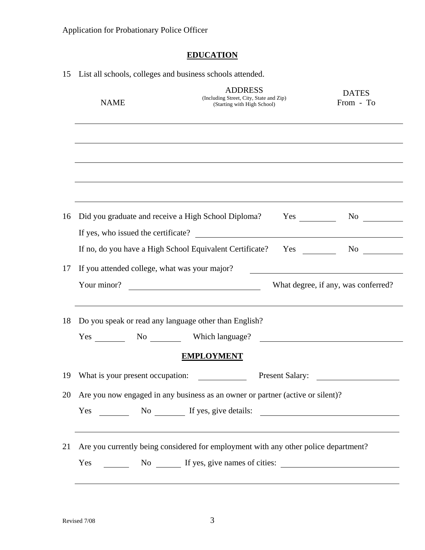# **EDUCATION**

|    |                                                                                | List an schools, concepts and business schools attended.                                 |                        |                                     |
|----|--------------------------------------------------------------------------------|------------------------------------------------------------------------------------------|------------------------|-------------------------------------|
|    | <b>NAME</b>                                                                    | <b>ADDRESS</b><br>(Including Street, City, State and Zip)<br>(Starting with High School) |                        | <b>DATES</b><br>From - To           |
|    |                                                                                |                                                                                          |                        |                                     |
|    |                                                                                |                                                                                          |                        |                                     |
|    |                                                                                |                                                                                          |                        |                                     |
| 16 |                                                                                | Did you graduate and receive a High School Diploma?                                      | $Yes \_$               |                                     |
|    |                                                                                | If yes, who issued the certificate?                                                      |                        |                                     |
|    |                                                                                | If no, do you have a High School Equivalent Certificate?                                 |                        | No                                  |
| 17 | If you attended college, what was your major?                                  |                                                                                          |                        |                                     |
|    |                                                                                | Your minor?                                                                              |                        | What degree, if any, was conferred? |
| 18 |                                                                                | Do you speak or read any language other than English?                                    |                        |                                     |
|    |                                                                                | Yes No No Which language?                                                                |                        |                                     |
|    |                                                                                | <b>EMPLOYMENT</b>                                                                        |                        |                                     |
| 19 | What is your present occupation:                                               |                                                                                          | <b>Present Salary:</b> |                                     |
| 20 | Are you now engaged in any business as an owner or partner (active or silent)? |                                                                                          |                        |                                     |
|    |                                                                                | Yes No No If yes, give details:                                                          |                        |                                     |
| 21 |                                                                                | Are you currently being considered for employment with any other police department?      |                        |                                     |
|    | Yes                                                                            | No If yes, give names of cities:                                                         |                        |                                     |

15 List all schools, colleges and business schools attended.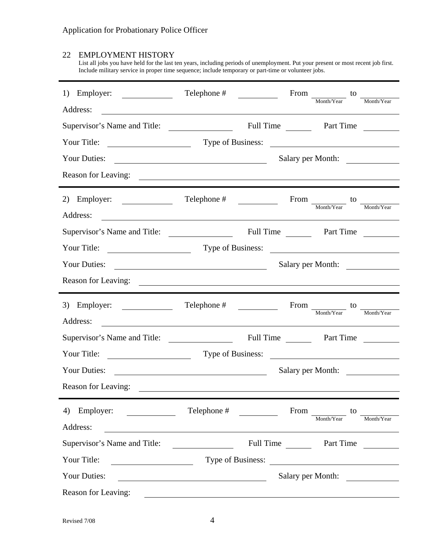### 22 EMPLOYMENT HISTORY

List all jobs you have held for the last ten years, including periods of unemployment. Put your present or most recent job first. Include military service in proper time sequence; include temporary or part-time or volunteer jobs.

| 1) Employer: $\qquad \qquad$                                                                                                                                                                                                                                                                                 | Telephone #                                                                                                           |                                        | $\begin{minipage}{.4\linewidth} \begin{tabular}{c} From \\ & \textcolor{red}{\footnotesize{Month/Year}} \end{tabular} \end{minipage} \begin{tabular}{c} to \\ & \textcolor{red}{\footnotesize{Month/Year}} \end{tabular}$ |
|--------------------------------------------------------------------------------------------------------------------------------------------------------------------------------------------------------------------------------------------------------------------------------------------------------------|-----------------------------------------------------------------------------------------------------------------------|----------------------------------------|---------------------------------------------------------------------------------------------------------------------------------------------------------------------------------------------------------------------------|
| Address:                                                                                                                                                                                                                                                                                                     |                                                                                                                       |                                        |                                                                                                                                                                                                                           |
|                                                                                                                                                                                                                                                                                                              |                                                                                                                       |                                        |                                                                                                                                                                                                                           |
|                                                                                                                                                                                                                                                                                                              |                                                                                                                       | Type of Business:                      |                                                                                                                                                                                                                           |
| <b>Your Duties:</b>                                                                                                                                                                                                                                                                                          |                                                                                                                       |                                        | Salary per Month:                                                                                                                                                                                                         |
|                                                                                                                                                                                                                                                                                                              |                                                                                                                       |                                        |                                                                                                                                                                                                                           |
| 2) Employer: $\qquad \qquad$                                                                                                                                                                                                                                                                                 |                                                                                                                       | $From \frac{1}{\text{Month/Year}}$     | to<br>Month/Year                                                                                                                                                                                                          |
| Address:                                                                                                                                                                                                                                                                                                     | <u> 1980 - Andrea Stadt Britain, fransk politik (d. 1980)</u>                                                         |                                        |                                                                                                                                                                                                                           |
|                                                                                                                                                                                                                                                                                                              |                                                                                                                       |                                        |                                                                                                                                                                                                                           |
|                                                                                                                                                                                                                                                                                                              |                                                                                                                       | Type of Business:                      |                                                                                                                                                                                                                           |
| <b>Your Duties:</b>                                                                                                                                                                                                                                                                                          |                                                                                                                       |                                        | Salary per Month:                                                                                                                                                                                                         |
|                                                                                                                                                                                                                                                                                                              |                                                                                                                       |                                        |                                                                                                                                                                                                                           |
|                                                                                                                                                                                                                                                                                                              |                                                                                                                       |                                        |                                                                                                                                                                                                                           |
| 3) Employer: $\frac{1}{\sqrt{1-\frac{1}{2}} \cdot \frac{1}{2}}$                                                                                                                                                                                                                                              |                                                                                                                       |                                        |                                                                                                                                                                                                                           |
| Address:                                                                                                                                                                                                                                                                                                     |                                                                                                                       |                                        | $\begin{minipage}{.4\linewidth} \begin{tabular}{l} \bf \textit{From} \\ \bf \textit{Month/Year} \end{tabular} \end{minipage}$                                                                                             |
|                                                                                                                                                                                                                                                                                                              | <u> 1989 - Johann Stoff, deutscher Stoff, der Stoff, der Stoff, der Stoff, der Stoff, der Stoff, der Stoff, der S</u> |                                        |                                                                                                                                                                                                                           |
|                                                                                                                                                                                                                                                                                                              |                                                                                                                       |                                        |                                                                                                                                                                                                                           |
| Your Duties:                                                                                                                                                                                                                                                                                                 | <u> 1990 - Johann Barn, fransk politik (d. 1980)</u>                                                                  |                                        | Salary per Month:                                                                                                                                                                                                         |
| Reason for Leaving:                                                                                                                                                                                                                                                                                          |                                                                                                                       |                                        |                                                                                                                                                                                                                           |
| 4) Employer:<br>$\begin{array}{c} \begin{array}{c} \begin{array}{c} \begin{array}{c} \end{array} \\ \begin{array}{c} \end{array} \end{array} & \begin{array}{c} \begin{array}{c} \end{array} \\ \begin{array}{c} \end{array} \end{array} & \begin{array}{c} \end{array} \end{array} \end{array} \end{array}$ | Telephone #<br>$\frac{1}{2}$                                                                                          | From                                   | to                                                                                                                                                                                                                        |
| Address:                                                                                                                                                                                                                                                                                                     |                                                                                                                       | Month/Year                             | Month/Year                                                                                                                                                                                                                |
| Supervisor's Name and Title:                                                                                                                                                                                                                                                                                 | <u> 1989 - Johann Stoff, fransk politik (d. 1989)</u>                                                                 | Full Time                              | Part Time                                                                                                                                                                                                                 |
| Your Title:                                                                                                                                                                                                                                                                                                  |                                                                                                                       |                                        |                                                                                                                                                                                                                           |
| <b>Your Duties:</b>                                                                                                                                                                                                                                                                                          | <u> 1989 - Johann Barn, mars eta bainar eta baina eta baina eta baina eta baina eta baina eta baina eta baina e</u>   | Type of Business:<br>Salary per Month: |                                                                                                                                                                                                                           |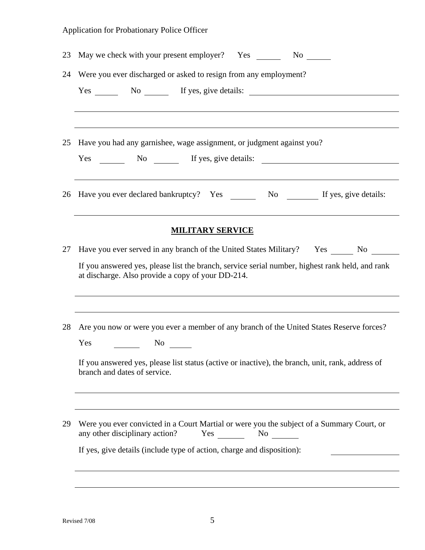| 23 | May we check with your present employer? Yes No                                                                                                                                                                                           |
|----|-------------------------------------------------------------------------------------------------------------------------------------------------------------------------------------------------------------------------------------------|
| 24 | Were you ever discharged or asked to resign from any employment?                                                                                                                                                                          |
|    | Yes No No If yes, give details:                                                                                                                                                                                                           |
| 25 | Have you had any garnishee, wage assignment, or judgment against you?<br>Yes No If yes, give details:                                                                                                                                     |
| 26 | Have you ever declared bankruptcy? Yes ________ No ________ If yes, give details:                                                                                                                                                         |
|    | ,我们也不会有什么。""我们的人,我们也不会有什么?""我们的人,我们也不会有什么?""我们的人,我们也不会有什么?""我们的人,我们也不会有什么?""我们的人<br><b>MILITARY SERVICE</b>                                                                                                                               |
| 27 | Have you ever served in any branch of the United States Military? Yes ________ No<br>If you answered yes, please list the branch, service serial number, highest rank held, and rank<br>at discharge. Also provide a copy of your DD-214. |
| 28 | Are you now or were you ever a member of any branch of the United States Reserve forces?                                                                                                                                                  |
|    | Yes<br>$No \ \underline{\hspace{1cm}}$<br>If you answered yes, please list status (active or inactive), the branch, unit, rank, address of<br>branch and dates of service.                                                                |
| 29 | Were you ever convicted in a Court Martial or were you the subject of a Summary Court, or<br>any other disciplinary action?<br>Yes<br>$No \t —$                                                                                           |
|    | If yes, give details (include type of action, charge and disposition):                                                                                                                                                                    |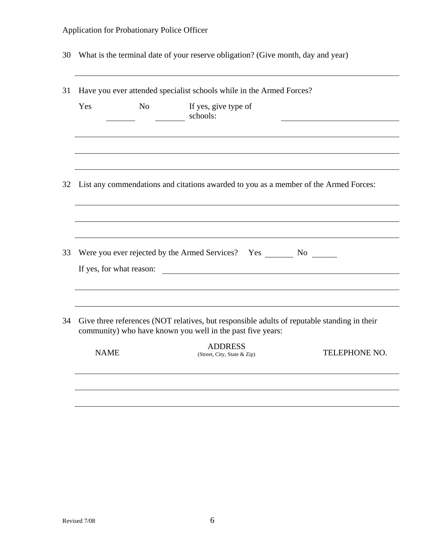30 What is the terminal date of your reserve obligation? (Give month, day and year)

| Yes | N <sub>o</sub>           | If yes, give type of<br>schools:                                                                                                                                             |  |
|-----|--------------------------|------------------------------------------------------------------------------------------------------------------------------------------------------------------------------|--|
|     |                          |                                                                                                                                                                              |  |
| 32  |                          | List any commendations and citations awarded to you as a member of the Armed Forces:                                                                                         |  |
|     |                          |                                                                                                                                                                              |  |
| 33  | If yes, for what reason: | Were you ever rejected by the Armed Services? Yes No<br><u> 1980 - Andrea State Barbara, político e a contrato de la contrato de la contrato de la contrato de la contra</u> |  |
| 34  |                          | Give three references (NOT relatives, but responsible adults of reputable standing in their<br>community) who have known you well in the past five years:                    |  |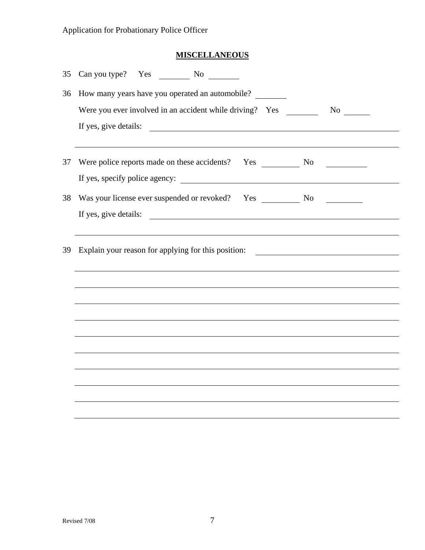# **MISCELLANEOUS**

| 35 | Can you type? Yes<br>$\frac{1}{\sqrt{1-\frac{1}{c^2}}}$ No                                                                                    |
|----|-----------------------------------------------------------------------------------------------------------------------------------------------|
| 36 | How many years have you operated an automobile?                                                                                               |
|    |                                                                                                                                               |
|    | If yes, give details:                                                                                                                         |
|    |                                                                                                                                               |
| 37 |                                                                                                                                               |
|    |                                                                                                                                               |
| 38 |                                                                                                                                               |
|    | If yes, give details:<br><u> 1989 - Jan Samuel Barbara, margaret e populari e populari e populari e populari e populari e populari e popu</u> |
|    |                                                                                                                                               |
| 39 | Explain your reason for applying for this position: _____________________________                                                             |
|    |                                                                                                                                               |
|    |                                                                                                                                               |
|    |                                                                                                                                               |
|    |                                                                                                                                               |
|    |                                                                                                                                               |
|    |                                                                                                                                               |
|    |                                                                                                                                               |
|    |                                                                                                                                               |
|    |                                                                                                                                               |
|    |                                                                                                                                               |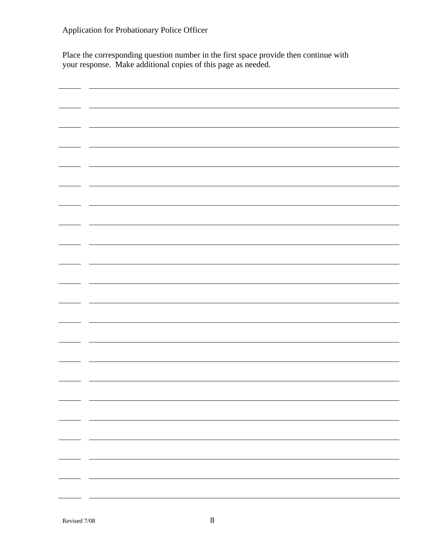Place the corresponding question number in the first space provide then continue with your response. Make additional copies of this page as needed.

| $\sim$                                                                                                                                                                                                                                                                                                                                                                                                                                                                     |  |
|----------------------------------------------------------------------------------------------------------------------------------------------------------------------------------------------------------------------------------------------------------------------------------------------------------------------------------------------------------------------------------------------------------------------------------------------------------------------------|--|
|                                                                                                                                                                                                                                                                                                                                                                                                                                                                            |  |
|                                                                                                                                                                                                                                                                                                                                                                                                                                                                            |  |
|                                                                                                                                                                                                                                                                                                                                                                                                                                                                            |  |
|                                                                                                                                                                                                                                                                                                                                                                                                                                                                            |  |
|                                                                                                                                                                                                                                                                                                                                                                                                                                                                            |  |
|                                                                                                                                                                                                                                                                                                                                                                                                                                                                            |  |
|                                                                                                                                                                                                                                                                                                                                                                                                                                                                            |  |
|                                                                                                                                                                                                                                                                                                                                                                                                                                                                            |  |
|                                                                                                                                                                                                                                                                                                                                                                                                                                                                            |  |
|                                                                                                                                                                                                                                                                                                                                                                                                                                                                            |  |
|                                                                                                                                                                                                                                                                                                                                                                                                                                                                            |  |
|                                                                                                                                                                                                                                                                                                                                                                                                                                                                            |  |
|                                                                                                                                                                                                                                                                                                                                                                                                                                                                            |  |
|                                                                                                                                                                                                                                                                                                                                                                                                                                                                            |  |
|                                                                                                                                                                                                                                                                                                                                                                                                                                                                            |  |
|                                                                                                                                                                                                                                                                                                                                                                                                                                                                            |  |
|                                                                                                                                                                                                                                                                                                                                                                                                                                                                            |  |
|                                                                                                                                                                                                                                                                                                                                                                                                                                                                            |  |
|                                                                                                                                                                                                                                                                                                                                                                                                                                                                            |  |
|                                                                                                                                                                                                                                                                                                                                                                                                                                                                            |  |
|                                                                                                                                                                                                                                                                                                                                                                                                                                                                            |  |
|                                                                                                                                                                                                                                                                                                                                                                                                                                                                            |  |
|                                                                                                                                                                                                                                                                                                                                                                                                                                                                            |  |
|                                                                                                                                                                                                                                                                                                                                                                                                                                                                            |  |
|                                                                                                                                                                                                                                                                                                                                                                                                                                                                            |  |
|                                                                                                                                                                                                                                                                                                                                                                                                                                                                            |  |
|                                                                                                                                                                                                                                                                                                                                                                                                                                                                            |  |
|                                                                                                                                                                                                                                                                                                                                                                                                                                                                            |  |
|                                                                                                                                                                                                                                                                                                                                                                                                                                                                            |  |
|                                                                                                                                                                                                                                                                                                                                                                                                                                                                            |  |
|                                                                                                                                                                                                                                                                                                                                                                                                                                                                            |  |
|                                                                                                                                                                                                                                                                                                                                                                                                                                                                            |  |
|                                                                                                                                                                                                                                                                                                                                                                                                                                                                            |  |
|                                                                                                                                                                                                                                                                                                                                                                                                                                                                            |  |
|                                                                                                                                                                                                                                                                                                                                                                                                                                                                            |  |
|                                                                                                                                                                                                                                                                                                                                                                                                                                                                            |  |
|                                                                                                                                                                                                                                                                                                                                                                                                                                                                            |  |
|                                                                                                                                                                                                                                                                                                                                                                                                                                                                            |  |
|                                                                                                                                                                                                                                                                                                                                                                                                                                                                            |  |
|                                                                                                                                                                                                                                                                                                                                                                                                                                                                            |  |
|                                                                                                                                                                                                                                                                                                                                                                                                                                                                            |  |
|                                                                                                                                                                                                                                                                                                                                                                                                                                                                            |  |
|                                                                                                                                                                                                                                                                                                                                                                                                                                                                            |  |
|                                                                                                                                                                                                                                                                                                                                                                                                                                                                            |  |
|                                                                                                                                                                                                                                                                                                                                                                                                                                                                            |  |
|                                                                                                                                                                                                                                                                                                                                                                                                                                                                            |  |
|                                                                                                                                                                                                                                                                                                                                                                                                                                                                            |  |
|                                                                                                                                                                                                                                                                                                                                                                                                                                                                            |  |
|                                                                                                                                                                                                                                                                                                                                                                                                                                                                            |  |
| $\frac{1}{\sqrt{2\pi}}\left( \frac{1}{\sqrt{2\pi}}\right) ^{2}$                                                                                                                                                                                                                                                                                                                                                                                                            |  |
|                                                                                                                                                                                                                                                                                                                                                                                                                                                                            |  |
|                                                                                                                                                                                                                                                                                                                                                                                                                                                                            |  |
|                                                                                                                                                                                                                                                                                                                                                                                                                                                                            |  |
|                                                                                                                                                                                                                                                                                                                                                                                                                                                                            |  |
| — —<br>$\overbrace{\hspace{25mm}}$                                                                                                                                                                                                                                                                                                                                                                                                                                         |  |
|                                                                                                                                                                                                                                                                                                                                                                                                                                                                            |  |
|                                                                                                                                                                                                                                                                                                                                                                                                                                                                            |  |
|                                                                                                                                                                                                                                                                                                                                                                                                                                                                            |  |
|                                                                                                                                                                                                                                                                                                                                                                                                                                                                            |  |
|                                                                                                                                                                                                                                                                                                                                                                                                                                                                            |  |
|                                                                                                                                                                                                                                                                                                                                                                                                                                                                            |  |
|                                                                                                                                                                                                                                                                                                                                                                                                                                                                            |  |
|                                                                                                                                                                                                                                                                                                                                                                                                                                                                            |  |
|                                                                                                                                                                                                                                                                                                                                                                                                                                                                            |  |
| $\frac{1}{1} \left( \frac{1}{1} \right) \left( \frac{1}{1} \right) \left( \frac{1}{1} \right) \left( \frac{1}{1} \right) \left( \frac{1}{1} \right) \left( \frac{1}{1} \right) \left( \frac{1}{1} \right) \left( \frac{1}{1} \right) \left( \frac{1}{1} \right) \left( \frac{1}{1} \right) \left( \frac{1}{1} \right) \left( \frac{1}{1} \right) \left( \frac{1}{1} \right) \left( \frac{1}{1} \right) \left( \frac{1}{1} \right) \left( \frac{1}{1} \right) \left( \frac$ |  |
|                                                                                                                                                                                                                                                                                                                                                                                                                                                                            |  |
|                                                                                                                                                                                                                                                                                                                                                                                                                                                                            |  |
|                                                                                                                                                                                                                                                                                                                                                                                                                                                                            |  |
|                                                                                                                                                                                                                                                                                                                                                                                                                                                                            |  |
|                                                                                                                                                                                                                                                                                                                                                                                                                                                                            |  |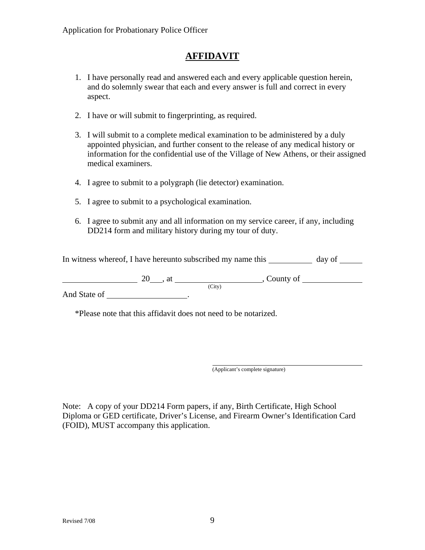# **AFFIDAVIT**

- 1. I have personally read and answered each and every applicable question herein, and do solemnly swear that each and every answer is full and correct in every aspect.
- 2. I have or will submit to fingerprinting, as required.
- 3. I will submit to a complete medical examination to be administered by a duly appointed physician, and further consent to the release of any medical history or information for the confidential use of the Village of New Athens, or their assigned medical examiners.
- 4. I agree to submit to a polygraph (lie detector) examination.
- 5. I agree to submit to a psychological examination.
- 6. I agree to submit any and all information on my service career, if any, including DD214 form and military history during my tour of duty.

In witness whereof, I have hereunto subscribed my name this \_\_\_\_\_\_\_\_\_\_\_\_ day of \_\_\_\_\_\_

 $20$ , at  $\frac{Citv}{c}$ , County of  $\frac{1}{c}$ And State of .

\*Please note that this affidavit does not need to be notarized.

(Applicant's complete signature)

Note: A copy of your DD214 Form papers, if any, Birth Certificate, High School Diploma or GED certificate, Driver's License, and Firearm Owner's Identification Card (FOID), MUST accompany this application.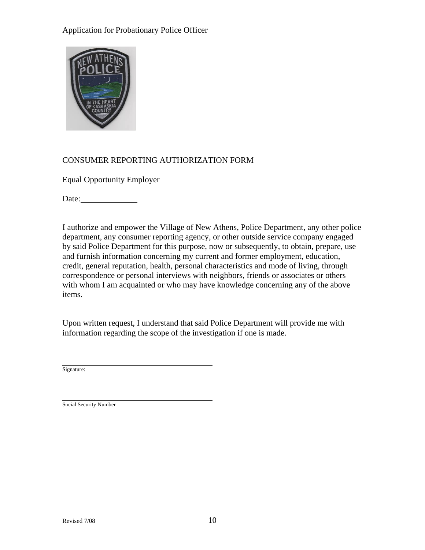

## CONSUMER REPORTING AUTHORIZATION FORM

Equal Opportunity Employer

Date:

I authorize and empower the Village of New Athens, Police Department, any other police department, any consumer reporting agency, or other outside service company engaged by said Police Department for this purpose, now or subsequently, to obtain, prepare, use and furnish information concerning my current and former employment, education, credit, general reputation, health, personal characteristics and mode of living, through correspondence or personal interviews with neighbors, friends or associates or others with whom I am acquainted or who may have knowledge concerning any of the above items.

Upon written request, I understand that said Police Department will provide me with information regarding the scope of the investigation if one is made.

 $\overline{a}$ Signature:

 $\overline{a}$ Social Security Number